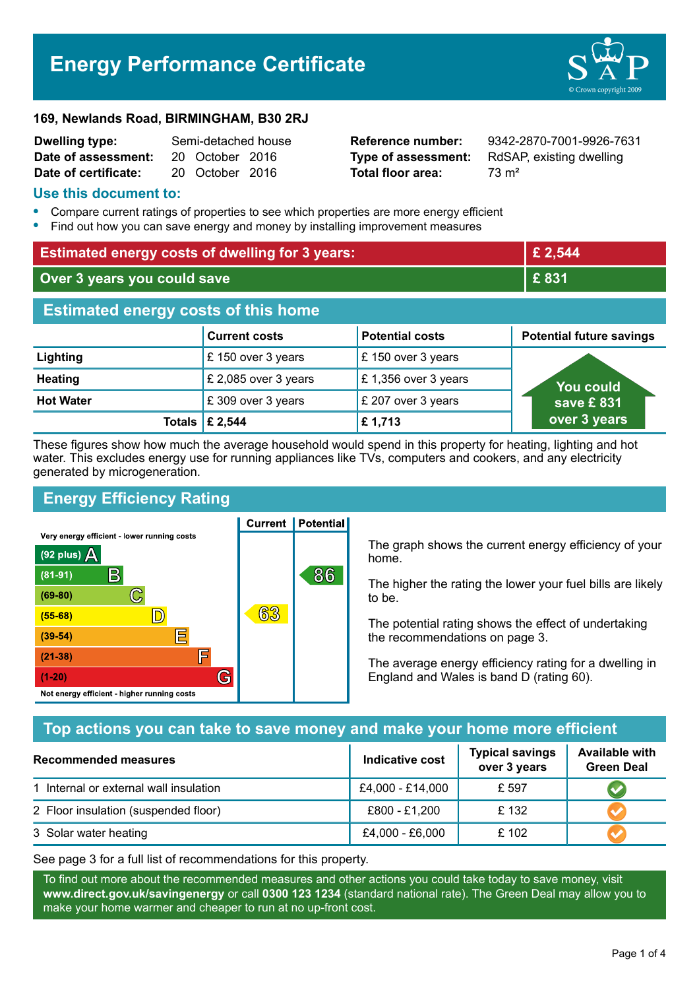# **Energy Performance Certificate**



#### **169, Newlands Road, BIRMINGHAM, B30 2RJ**

| <b>Dwelling type:</b> | Semi-detached house |                 |  |
|-----------------------|---------------------|-----------------|--|
| Date of assessment:   |                     | 20 October 2016 |  |
| Date of certificate:  |                     | 20 October 2016 |  |

**Total floor area:** 73 m<sup>2</sup>

**Reference number:** 9342-2870-7001-9926-7631 **Type of assessment:** RdSAP, existing dwelling

#### **Use this document to:**

- **•** Compare current ratings of properties to see which properties are more energy efficient
- **•** Find out how you can save energy and money by installing improvement measures

| <b>Estimated energy costs of dwelling for 3 years:</b> |                           | £ 2,544                |                                 |  |
|--------------------------------------------------------|---------------------------|------------------------|---------------------------------|--|
| Over 3 years you could save                            |                           | £831                   |                                 |  |
| <b>Estimated energy costs of this home</b>             |                           |                        |                                 |  |
|                                                        | <b>Current costs</b>      | <b>Potential costs</b> | <b>Potential future savings</b> |  |
| Lighting                                               | £150 over 3 years         | £ 150 over 3 years     |                                 |  |
| <b>Heating</b>                                         | £ 2,085 over 3 years      | £1,356 over 3 years    | <b>You could</b>                |  |
| <b>Hot Water</b>                                       | £ 309 over 3 years        | £ 207 over 3 years     | save £831                       |  |
|                                                        | Totals $\mathsf{E}$ 2,544 | £1,713                 | over 3 years                    |  |

These figures show how much the average household would spend in this property for heating, lighting and hot water. This excludes energy use for running appliances like TVs, computers and cookers, and any electricity generated by microgeneration.

**Current | Potential** 

## **Energy Efficiency Rating**

Very energy efficient - lower running costs



The graph shows the current energy efficiency of your home.

The higher the rating the lower your fuel bills are likely to be.

The potential rating shows the effect of undertaking the recommendations on page 3.

The average energy efficiency rating for a dwelling in England and Wales is band D (rating 60).

## **Top actions you can take to save money and make your home more efficient**

| Recommended measures                   | Indicative cost  | <b>Typical savings</b><br>over 3 years | <b>Available with</b><br><b>Green Deal</b> |
|----------------------------------------|------------------|----------------------------------------|--------------------------------------------|
| 1 Internal or external wall insulation | £4,000 - £14,000 | £ 597                                  |                                            |
| 2 Floor insulation (suspended floor)   | £800 - £1,200    | £132                                   |                                            |
| 3 Solar water heating                  | £4,000 - £6,000  | £102                                   |                                            |

See page 3 for a full list of recommendations for this property.

To find out more about the recommended measures and other actions you could take today to save money, visit **www.direct.gov.uk/savingenergy** or call **0300 123 1234** (standard national rate). The Green Deal may allow you to make your home warmer and cheaper to run at no up-front cost.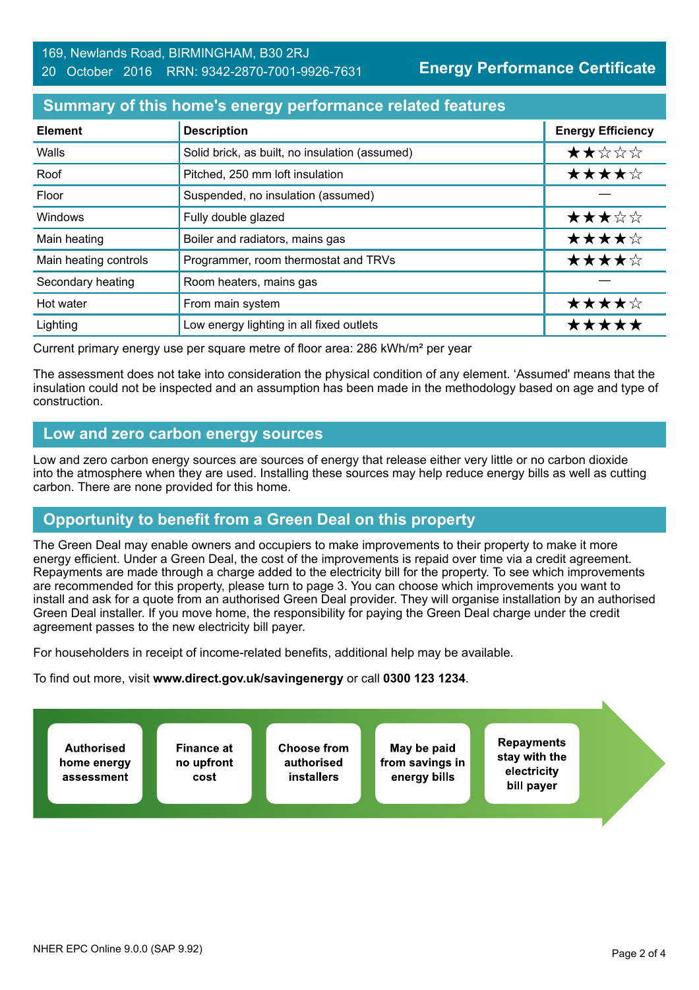#### **Summary of this home's energy performance related features**

| <b>Element</b>        | <b>Description</b>                             | <b>Energy Efficiency</b> |
|-----------------------|------------------------------------------------|--------------------------|
| Walls                 | Solid brick, as built, no insulation (assumed) | ★★☆☆☆                    |
| Roof                  | Pitched, 250 mm loft insulation                | ★★★★☆                    |
| Floor                 | Suspended, no insulation (assumed)             |                          |
| Windows               | Fully double glazed                            | ★★★☆☆                    |
| Main heating          | Boiler and radiators, mains gas                | ★★★★☆                    |
| Main heating controls | Programmer, room thermostat and TRVs           | ★★★★☆                    |
| Secondary heating     | Room heaters, mains gas                        |                          |
| Hot water             | From main system                               | ★★★★☆                    |
| Lighting              | Low energy lighting in all fixed outlets       | *****                    |

Current primary energy use per square metre of floor area: 286 kWh/m² per year

The assessment does not take into consideration the physical condition of any element. 'Assumed' means that the insulation could not be inspected and an assumption has been made in the methodology based on age and type of construction.

#### **Low and zero carbon energy sources**

Low and zero carbon energy sources are sources of energy that release either very little or no carbon dioxide into the atmosphere when they are used. Installing these sources may help reduce energy bills as well as cutting carbon. There are none provided for this home.

## **Opportunity to benefit from a Green Deal on this property**

The Green Deal may enable owners and occupiers to make improvements to their property to make it more energy efficient. Under a Green Deal, the cost of the improvements is repaid over time via a credit agreement. Repayments are made through a charge added to the electricity bill for the property. To see which improvements are recommended for this property, please turn to page 3. You can choose which improvements you want to install and ask for a quote from an authorised Green Deal provider. They will organise installation by an authorised Green Deal installer. If you move home, the responsibility for paying the Green Deal charge under the credit agreement passes to the new electricity bill payer.

For householders in receipt of income-related benefits, additional help may be available.

To find out more, visit **www.direct.gov.uk/savingenergy** or call **0300 123 1234**.

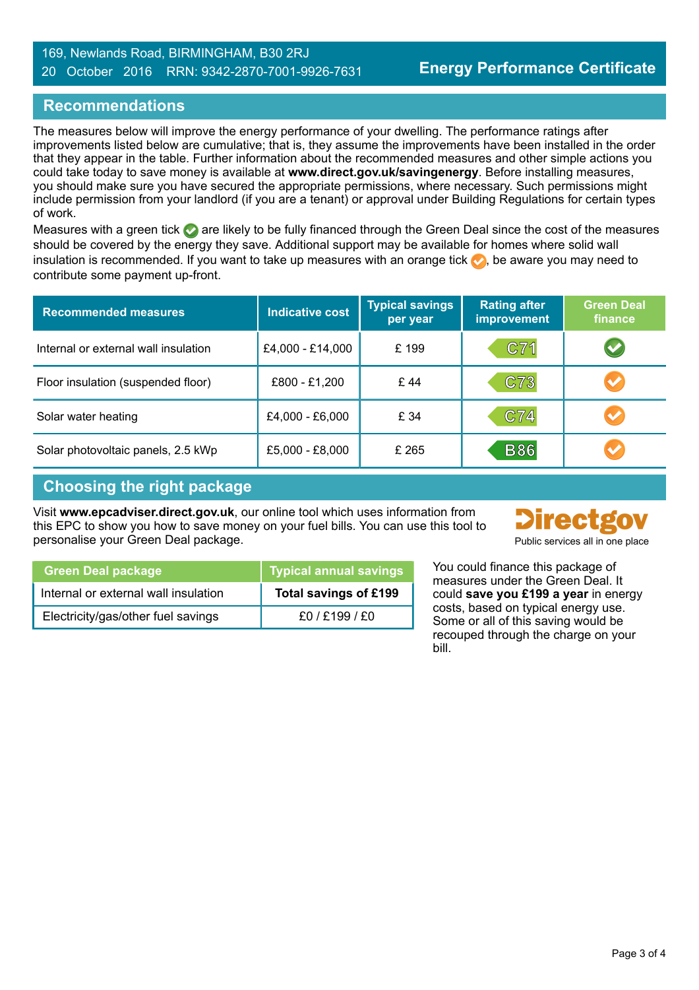#### 169, Newlands Road, BIRMINGHAM, B30 2RJ 20 October 2016 RRN: 9342-2870-7001-9926-7631

### **Recommendations**

The measures below will improve the energy performance of your dwelling. The performance ratings after improvements listed below are cumulative; that is, they assume the improvements have been installed in the order that they appear in the table. Further information about the recommended measures and other simple actions you could take today to save money is available at **www.direct.gov.uk/savingenergy**. Before installing measures, you should make sure you have secured the appropriate permissions, where necessary. Such permissions might include permission from your landlord (if you are a tenant) or approval under Building Regulations for certain types of work.

Measures with a green tick  $\bullet$  are likely to be fully financed through the Green Deal since the cost of the measures should be covered by the energy they save. Additional support may be available for homes where solid wall insulation is recommended. If you want to take up measures with an orange tick  $\blacklozenge$ , be aware you may need to contribute some payment up-front.

| <b>Recommended measures</b>          | <b>Indicative cost</b> | <b>Typical savings</b><br>per year | <b>Rating after</b><br>improvement | <b>Green Deal</b><br>finance |
|--------------------------------------|------------------------|------------------------------------|------------------------------------|------------------------------|
| Internal or external wall insulation | £4,000 - £14,000       | £199                               | C71                                | $\blacktriangledown$         |
| Floor insulation (suspended floor)   | £800 - £1,200          | £44                                | C73                                | $\blacktriangledown$         |
| Solar water heating                  | £4,000 - £6,000        | £ 34                               | C74                                | $\blacktriangledown$         |
| Solar photovoltaic panels, 2.5 kWp   | £5,000 - £8,000        | £ 265                              | <b>B86</b>                         |                              |

## **Choosing the right package**

Visit **www.epcadviser.direct.gov.uk**, our online tool which uses information from this EPC to show you how to save money on your fuel bills. You can use this tool to personalise your Green Deal package. **Public services all in one place** part of public services all in one place



| I savings     | measures under the Green Dea   |
|---------------|--------------------------------|
| $inf$ f f 199 | could save vou £199 a vear in  |
|               | You could finance this package |

| <b>Green Deal package</b>            | Typical annual savings |
|--------------------------------------|------------------------|
| Internal or external wall insulation | Total savings of £199  |
| Electricity/gas/other fuel savings   | £0/£199/£0             |

You could finance this package of measures under the Green Deal. It could **save you £199 a year** in energy costs, based on typical energy use. Some or all of this saving would be recouped through the charge on your bill.